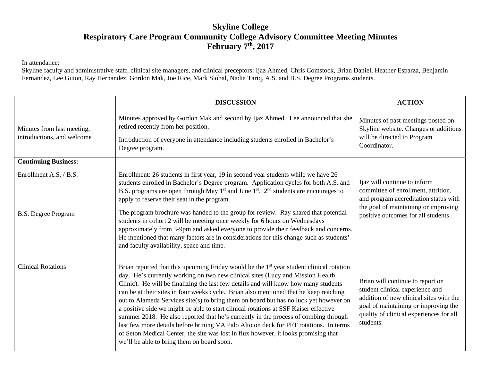# **Skyline College Respiratory Care Program Community College Advisory Committee Meeting Minutes February 7th, 2017**

In attendance:

Skyline faculty and administrative staff, clinical site managers, and clinical preceptors: Ijaz Ahmed, Chris Comstock, Brian Daniel, Heather Esparza, Benjamin Fernandez, Lee Guion, Ray Hernandez, Gordon Mak, Joe Rice, Mark Siobal, Nadia Tariq, A.S. and B.S. Degree Programs students.

|                                                          | <b>DISCUSSION</b>                                                                                                                                                                                                                                                                                                                                                                                                                                                                                                                                                                                                                                                                                                                                                                                                                                                            | <b>ACTION</b>                                                                                                                                                                                                  |
|----------------------------------------------------------|------------------------------------------------------------------------------------------------------------------------------------------------------------------------------------------------------------------------------------------------------------------------------------------------------------------------------------------------------------------------------------------------------------------------------------------------------------------------------------------------------------------------------------------------------------------------------------------------------------------------------------------------------------------------------------------------------------------------------------------------------------------------------------------------------------------------------------------------------------------------------|----------------------------------------------------------------------------------------------------------------------------------------------------------------------------------------------------------------|
| Minutes from last meeting,<br>introductions, and welcome | Minutes approved by Gordon Mak and second by Ijaz Ahmed. Lee announced that she<br>retired recently from her position.<br>Introduction of everyone in attendance including students enrolled in Bachelor's<br>Degree program.                                                                                                                                                                                                                                                                                                                                                                                                                                                                                                                                                                                                                                                | Minutes of past meetings posted on<br>Skyline website. Changes or additions<br>will be directed to Program<br>Coordinator.                                                                                     |
| <b>Continuing Business:</b>                              |                                                                                                                                                                                                                                                                                                                                                                                                                                                                                                                                                                                                                                                                                                                                                                                                                                                                              |                                                                                                                                                                                                                |
| Enrollment A.S. / B.S.<br><b>B.S. Degree Program</b>     | Enrollment: 26 students in first year, 19 in second year students while we have 26<br>students enrolled in Bachelor's Degree program. Application cycles for both A.S. and<br>B.S. programs are open through May $1st$ and June $1st$ . $2nd$ students are encourages to<br>apply to reserve their seat in the program.<br>The program brochure was handed to the group for review. Ray shared that potential<br>students in cohort 2 will be meeting once weekly for 6 hours on Wednesdays<br>approximately from 3-9pm and asked everyone to provide their feedback and concerns.<br>He mentioned that many factors are in considerations for this change such as students'<br>and faculty availability, space and time.                                                                                                                                                    | Ijaz will continue to inform<br>committee of enrollment, attrition,<br>and program accreditation status with<br>the goal of maintaining or improving<br>positive outcomes for all students.                    |
| <b>Clinical Rotations</b>                                | Brian reported that this upcoming Friday would be the 1 <sup>st</sup> year student clinical rotation<br>day. He's currently working on two new clinical sites (Lucy and Mission Health<br>Clinic). He will be finalizing the last few details and will know how many students<br>can be at their sites in four weeks cycle. Brian also mentioned that he keep reaching<br>out to Alameda Services site(s) to bring them on board but has no luck yet however on<br>a positive side we might be able to start clinical rotations at SSF Kaiser effective<br>summer 2018. He also reported that he's currently in the process of combing through<br>last few more details before brining VA Palo Alto on deck for PFT rotations. In terms<br>of Seton Medical Center, the site was lost in flux however, it looks promising that<br>we'll be able to bring them on board soon. | Brian will continue to report on<br>student clinical experience and<br>addition of new clinical sites with the<br>goal of maintaining or improving the<br>quality of clinical experiences for all<br>students. |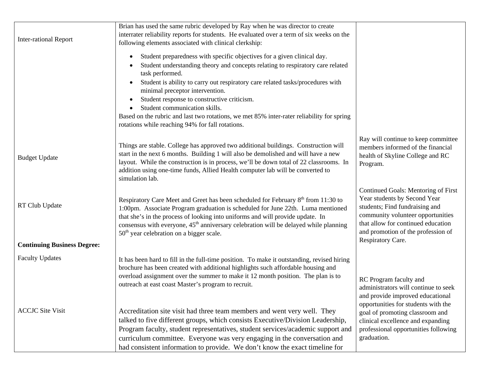|                                    | Brian has used the same rubric developed by Ray when he was director to create                                                                                                                                                                                                                                                                                                                                                 |                                                                                                                                                                                                                                             |
|------------------------------------|--------------------------------------------------------------------------------------------------------------------------------------------------------------------------------------------------------------------------------------------------------------------------------------------------------------------------------------------------------------------------------------------------------------------------------|---------------------------------------------------------------------------------------------------------------------------------------------------------------------------------------------------------------------------------------------|
|                                    | interrater reliability reports for students. He evaluated over a term of six weeks on the                                                                                                                                                                                                                                                                                                                                      |                                                                                                                                                                                                                                             |
| <b>Inter-rational Report</b>       | following elements associated with clinical clerkship:                                                                                                                                                                                                                                                                                                                                                                         |                                                                                                                                                                                                                                             |
|                                    | Student preparedness with specific objectives for a given clinical day.<br>$\bullet$                                                                                                                                                                                                                                                                                                                                           |                                                                                                                                                                                                                                             |
|                                    | Student understanding theory and concepts relating to respiratory care related<br>task performed.                                                                                                                                                                                                                                                                                                                              |                                                                                                                                                                                                                                             |
|                                    | Student is ability to carry out respiratory care related tasks/procedures with                                                                                                                                                                                                                                                                                                                                                 |                                                                                                                                                                                                                                             |
|                                    | minimal preceptor intervention.<br>Student response to constructive criticism.<br>$\bullet$                                                                                                                                                                                                                                                                                                                                    |                                                                                                                                                                                                                                             |
|                                    | Student communication skills.                                                                                                                                                                                                                                                                                                                                                                                                  |                                                                                                                                                                                                                                             |
|                                    | Based on the rubric and last two rotations, we met 85% inter-rater reliability for spring<br>rotations while reaching 94% for fall rotations.                                                                                                                                                                                                                                                                                  |                                                                                                                                                                                                                                             |
| <b>Budget Update</b>               | Things are stable. College has approved two additional buildings. Construction will<br>start in the next 6 months. Building 1 will also be demolished and will have a new<br>layout. While the construction is in process, we'll be down total of 22 classrooms. In<br>addition using one-time funds, Allied Health computer lab will be converted to<br>simulation lab.                                                       | Ray will continue to keep committee<br>members informed of the financial<br>health of Skyline College and RC<br>Program.                                                                                                                    |
| RT Club Update                     | Respiratory Care Meet and Greet has been scheduled for February 8 <sup>th</sup> from 11:30 to<br>1:00pm. Associate Program graduation is scheduled for June 22th. Luma mentioned<br>that she's in the process of looking into uniforms and will provide update. In<br>consensus with everyone, 45 <sup>th</sup> anniversary celebration will be delayed while planning<br>50 <sup>th</sup> year celebration on a bigger scale. | Continued Goals: Mentoring of First<br>Year students by Second Year<br>students; Find fundraising and<br>community volunteer opportunities<br>that allow for continued education<br>and promotion of the profession of<br>Respiratory Care. |
| <b>Continuing Business Degree:</b> |                                                                                                                                                                                                                                                                                                                                                                                                                                |                                                                                                                                                                                                                                             |
| <b>Faculty Updates</b>             | It has been hard to fill in the full-time position. To make it outstanding, revised hiring<br>brochure has been created with additional highlights such affordable housing and<br>overload assignment over the summer to make it 12 month position. The plan is to<br>outreach at east coast Master's program to recruit.                                                                                                      | RC Program faculty and<br>administrators will continue to seek                                                                                                                                                                              |
|                                    |                                                                                                                                                                                                                                                                                                                                                                                                                                | and provide improved educational<br>opportunities for students with the                                                                                                                                                                     |
| <b>ACCJC</b> Site Visit            | Accreditation site visit had three team members and went very well. They<br>talked to five different groups, which consists Executive/Division Leadership,                                                                                                                                                                                                                                                                     | goal of promoting classroom and<br>clinical excellence and expanding                                                                                                                                                                        |
|                                    | Program faculty, student representatives, student services/academic support and                                                                                                                                                                                                                                                                                                                                                | professional opportunities following                                                                                                                                                                                                        |
|                                    | curriculum committee. Everyone was very engaging in the conversation and<br>had consistent information to provide. We don't know the exact timeline for                                                                                                                                                                                                                                                                        | graduation.                                                                                                                                                                                                                                 |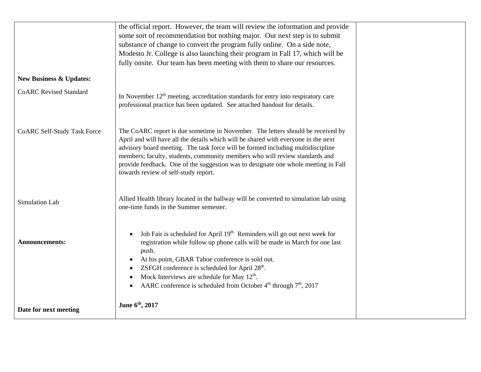|                                    | the official report. However, the team will review the information and provide<br>some sort of recommendation but nothing major. Our next step is to submit<br>substance of change to convert the program fully online. On a side note,<br>Modesto Jr. College is also launching their program in Fall 17, which will be                                                                                                                                                      |  |
|------------------------------------|-------------------------------------------------------------------------------------------------------------------------------------------------------------------------------------------------------------------------------------------------------------------------------------------------------------------------------------------------------------------------------------------------------------------------------------------------------------------------------|--|
|                                    | fully onsite. Our team has been meeting with them to share our resources.                                                                                                                                                                                                                                                                                                                                                                                                     |  |
| <b>New Business &amp; Updates:</b> |                                                                                                                                                                                                                                                                                                                                                                                                                                                                               |  |
| <b>CoARC</b> Revised Standard      | In November $12th$ meeting, accreditation standards for entry into respiratory care<br>professional practice has been updated. See attached handout for details.                                                                                                                                                                                                                                                                                                              |  |
| <b>CoARC Self-Study Task Force</b> | The CoARC report is due sometime in November. The letters should be received by<br>April and will have all the details which will be shared with everyone in the next<br>advisory board meeting. The task force will be formed including multidiscipline<br>members; faculty, students, community members who will review standards and<br>provide feedback. One of the suggestion was to designate one whole meeting in Fall<br>towards review of self-study report.         |  |
| Simulation Lab                     | Allied Health library located in the hallway will be converted to simulation lab using<br>one-time funds in the Summer semester.                                                                                                                                                                                                                                                                                                                                              |  |
| <b>Announcements:</b>              | Job Fair is scheduled for April 19th. Reminders will go out next week for<br>$\bullet$<br>registration while follow up phone calls will be made in March for one last<br>push.<br>At his point, GBAR Tahoe conference is sold out.<br>$\bullet$<br>ZSFGH conference is scheduled for April 28 <sup>th</sup> .<br>$\bullet$<br>Mock Interviews are schedule for May $12th$ .<br>$\bullet$<br>AARC conference is scheduled from October $4th$ through $7th$ , 2017<br>$\bullet$ |  |
| Date for next meeting              | June 6th, 2017                                                                                                                                                                                                                                                                                                                                                                                                                                                                |  |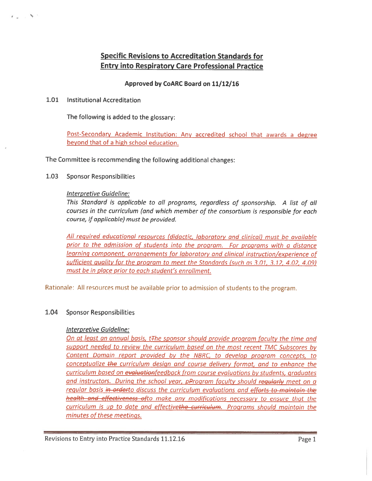# **Specific Revisions to Accreditation Standards for Entry into Respiratory Care Professional Practice**

## Approved by CoARC Board on 11/12/16

 $1.01$ **Institutional Accreditation** 

ねんじ あい

The following is added to the glossary:

Post-Secondary Academic Institution: Any accredited school that awards a degree beyond that of a high school education.

The Committee is recommending the following additional changes:

1.03 **Sponsor Responsibilities** 

### Interpretive Guideline:

This Standard is applicable to all programs, regardless of sponsorship. A list of all courses in the curriculum (and which member of the consortium is responsible for each course, if applicable) must be provided.

All required educational resources (didactic, laboratory and clinical) must be available prior to the admission of students into the program. For programs with a distance learning component, arrangements for laboratory and clinical instruction/experience of sufficient quality for the program to meet the Standards (such as 3.01, 3.12, 4.02, 4.09) must be in place prior to each student's enrollment.

Rationale: All resources must be available prior to admission of students to the program.

#### 1.04 **Sponsor Responsibilities**

#### **Interpretive Guideline:**

On at least an annual basis, t<sub>The sponsor</sub> should provide program faculty the time and support needed to review the curriculum based on the most recent TMC Subscores by Content Domain report provided by the NBRC, to develop program concepts, to conceptualize the curriculum design and course delivery format, and to enhance the curriculum based on evaluationfeedback from course evaluations by students, graduates and instructors. During the school year, pProgram faculty should regularly meet on a regular basis in orderto discuss the curriculum evaluations and efforts to maintain the health and effectiveness ofto make any modifications necessary to ensure that the curriculum is up to date and effectivethe curriculum. Programs should maintain the minutes of these meetings.